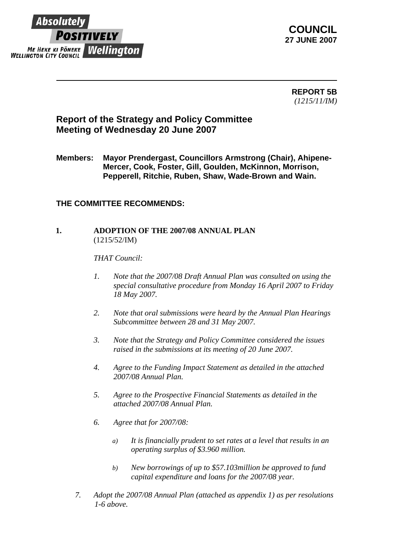

**COUNCIL 27 JUNE 2007** 

> **REPORT 5B** *(1215/11/IM)*

## **Report of the Strategy and Policy Committee Meeting of Wednesday 20 June 2007**

**Members: Mayor Prendergast, Councillors Armstrong (Chair), Ahipene-Mercer, Cook, Foster, Gill, Goulden, McKinnon, Morrison, Pepperell, Ritchie, Ruben, Shaw, Wade-Brown and Wain.** 

## **THE COMMITTEE RECOMMENDS:**

## **1. ADOPTION OF THE 2007/08 ANNUAL PLAN** (1215/52/IM)

*THAT Council:* 

- *1. Note that the 2007/08 Draft Annual Plan was consulted on using the special consultative procedure from Monday 16 April 2007 to Friday 18 May 2007.*
- *2. Note that oral submissions were heard by the Annual Plan Hearings Subcommittee between 28 and 31 May 2007.*
- *3. Note that the Strategy and Policy Committee considered the issues raised in the submissions at its meeting of 20 June 2007.*
- *4. Agree to the Funding Impact Statement as detailed in the attached 2007/08 Annual Plan.*
- *5. Agree to the Prospective Financial Statements as detailed in the attached 2007/08 Annual Plan.*
- *6. Agree that for 2007/08:* 
	- *a) It is financially prudent to set rates at a level that results in an operating surplus of \$3.960 million.*
	- *b) New borrowings of up to \$57.103million be approved to fund capital expenditure and loans for the 2007/08 year.*
- *7. Adopt the 2007/08 Annual Plan (attached as appendix 1) as per resolutions 1-6 above.*